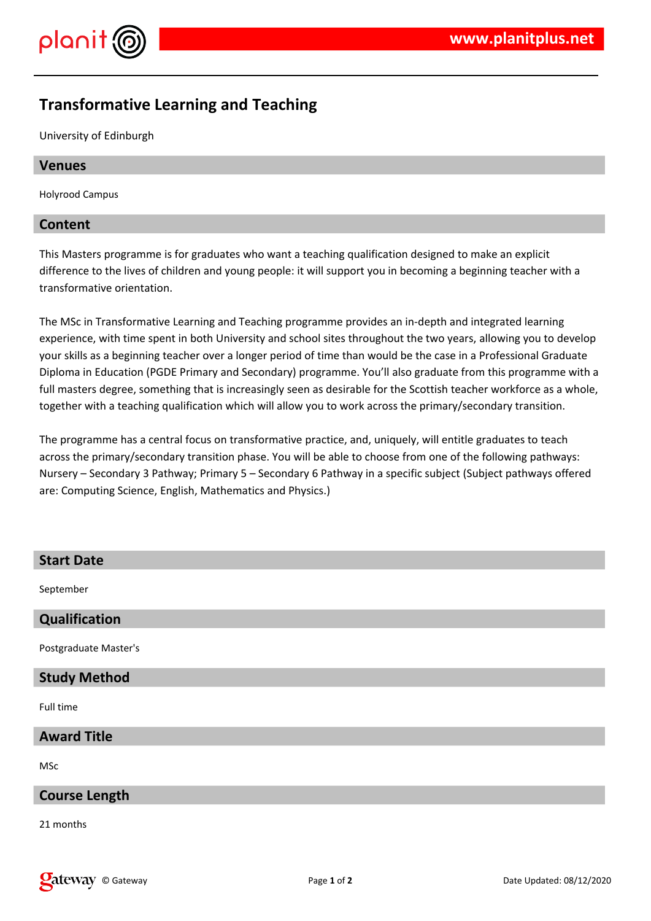

# **Transformative Learning and Teaching**

University of Edinburgh

# **Venues**

Holyrood Campus

# **Content**

This Masters programme is for graduates who want a teaching qualification designed to make an explicit difference to the lives of children and young people: it will support you in becoming a beginning teacher with a transformative orientation.

The MSc in Transformative Learning and Teaching programme provides an in-depth and integrated learning experience, with time spent in both University and school sites throughout the two years, allowing you to develop your skills as a beginning teacher over a longer period of time than would be the case in a Professional Graduate Diploma in Education (PGDE Primary and Secondary) programme. You'll also graduate from this programme with a full masters degree, something that is increasingly seen as desirable for the Scottish teacher workforce as a whole, together with a teaching qualification which will allow you to work across the primary/secondary transition.

The programme has a central focus on transformative practice, and, uniquely, will entitle graduates to teach across the primary/secondary transition phase. You will be able to choose from one of the following pathways: Nursery – Secondary 3 Pathway; Primary 5 – Secondary 6 Pathway in a specific subject (Subject pathways offered are: Computing Science, English, Mathematics and Physics.)

| <b>Start Date</b>     |
|-----------------------|
| September             |
| Qualification         |
| Postgraduate Master's |
| <b>Study Method</b>   |
| Full time             |
| <b>Award Title</b>    |
| MSc                   |
| <b>Course Length</b>  |
| 21 months             |